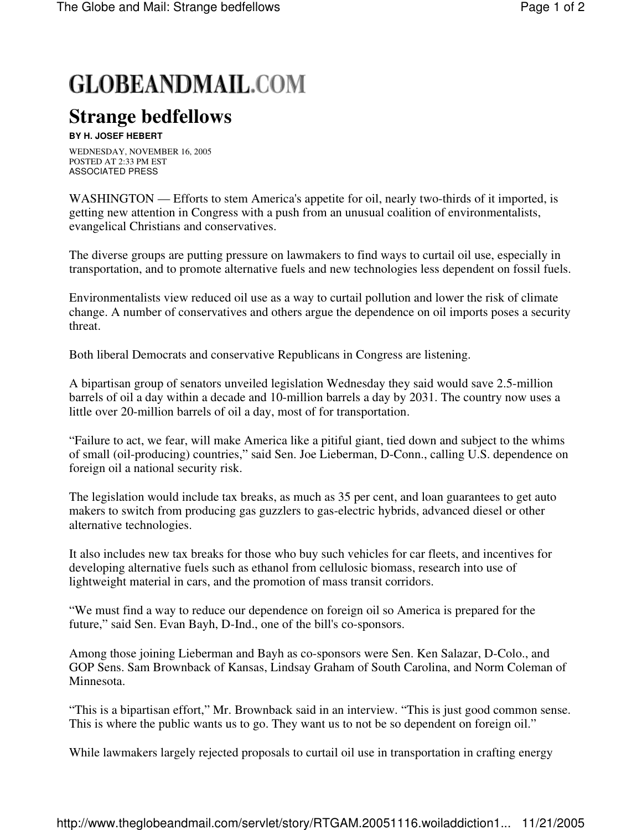## **GLOBEANDMAIL.COM**

## **Strange bedfellows**

## **BY H. JOSEF HEBERT**

WEDNESDAY, NOVEMBER 16, 2005 POSTED AT 2:33 PM EST ASSOCIATED PRESS

WASHINGTON — Efforts to stem America's appetite for oil, nearly two-thirds of it imported, is getting new attention in Congress with a push from an unusual coalition of environmentalists, evangelical Christians and conservatives.

The diverse groups are putting pressure on lawmakers to find ways to curtail oil use, especially in transportation, and to promote alternative fuels and new technologies less dependent on fossil fuels.

Environmentalists view reduced oil use as a way to curtail pollution and lower the risk of climate change. A number of conservatives and others argue the dependence on oil imports poses a security threat.

Both liberal Democrats and conservative Republicans in Congress are listening.

A bipartisan group of senators unveiled legislation Wednesday they said would save 2.5-million barrels of oil a day within a decade and 10-million barrels a day by 2031. The country now uses a little over 20-million barrels of oil a day, most of for transportation.

"Failure to act, we fear, will make America like a pitiful giant, tied down and subject to the whims of small (oil-producing) countries," said Sen. Joe Lieberman, D-Conn., calling U.S. dependence on foreign oil a national security risk.

The legislation would include tax breaks, as much as 35 per cent, and loan guarantees to get auto makers to switch from producing gas guzzlers to gas-electric hybrids, advanced diesel or other alternative technologies.

It also includes new tax breaks for those who buy such vehicles for car fleets, and incentives for developing alternative fuels such as ethanol from cellulosic biomass, research into use of lightweight material in cars, and the promotion of mass transit corridors.

"We must find a way to reduce our dependence on foreign oil so America is prepared for the future," said Sen. Evan Bayh, D-Ind., one of the bill's co-sponsors.

Among those joining Lieberman and Bayh as co-sponsors were Sen. Ken Salazar, D-Colo., and GOP Sens. Sam Brownback of Kansas, Lindsay Graham of South Carolina, and Norm Coleman of Minnesota.

"This is a bipartisan effort," Mr. Brownback said in an interview. "This is just good common sense. This is where the public wants us to go. They want us to not be so dependent on foreign oil."

While lawmakers largely rejected proposals to curtail oil use in transportation in crafting energy